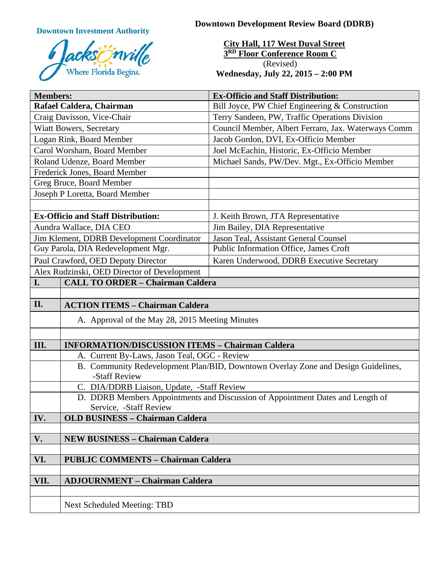**Downtown Investment Authority**



**Downtown Development Review Board (DDRB)**

**City Hall, 117 West Duval Street 3RD Floor Conference Room C** (Revised) **Wednesday, July 22, 2015 – 2:00 PM**

| <b>Members:</b>                             |                                                                                                    | <b>Ex-Officio and Staff Distribution:</b>           |
|---------------------------------------------|----------------------------------------------------------------------------------------------------|-----------------------------------------------------|
| Rafael Caldera, Chairman                    |                                                                                                    | Bill Joyce, PW Chief Engineering & Construction     |
| Craig Davisson, Vice-Chair                  |                                                                                                    | Terry Sandeen, PW, Traffic Operations Division      |
| <b>Wiatt Bowers, Secretary</b>              |                                                                                                    | Council Member, Albert Ferraro, Jax. Waterways Comm |
| Logan Rink, Board Member                    |                                                                                                    | Jacob Gordon, DVI, Ex-Officio Member                |
| Carol Worsham, Board Member                 |                                                                                                    | Joel McEachin, Historic, Ex-Officio Member          |
| Roland Udenze, Board Member                 |                                                                                                    | Michael Sands, PW/Dev. Mgt., Ex-Officio Member      |
| Frederick Jones, Board Member               |                                                                                                    |                                                     |
| Greg Bruce, Board Member                    |                                                                                                    |                                                     |
| Joseph P Loretta, Board Member              |                                                                                                    |                                                     |
|                                             |                                                                                                    |                                                     |
| <b>Ex-Officio and Staff Distribution:</b>   |                                                                                                    | J. Keith Brown, JTA Representative                  |
| Aundra Wallace, DIA CEO                     |                                                                                                    | Jim Bailey, DIA Representative                      |
| Jim Klement, DDRB Development Coordinator   |                                                                                                    | Jason Teal, Assistant General Counsel               |
| Guy Parola, DIA Redevelopment Mgr.          |                                                                                                    | Public Information Office, James Croft              |
| Paul Crawford, OED Deputy Director          |                                                                                                    | Karen Underwood, DDRB Executive Secretary           |
| Alex Rudzinski, OED Director of Development |                                                                                                    |                                                     |
| I.                                          | <b>CALL TO ORDER - Chairman Caldera</b>                                                            |                                                     |
|                                             |                                                                                                    |                                                     |
| II.                                         | <b>ACTION ITEMS - Chairman Caldera</b>                                                             |                                                     |
|                                             | A. Approval of the May 28, 2015 Meeting Minutes                                                    |                                                     |
|                                             |                                                                                                    |                                                     |
| III.                                        | <b>INFORMATION/DISCUSSION ITEMS - Chairman Caldera</b>                                             |                                                     |
|                                             | A. Current By-Laws, Jason Teal, OGC - Review                                                       |                                                     |
|                                             | B. Community Redevelopment Plan/BID, Downtown Overlay Zone and Design Guidelines,<br>-Staff Review |                                                     |
|                                             | C. DIA/DDRB Liaison, Update, -Staff Review                                                         |                                                     |
|                                             | D. DDRB Members Appointments and Discussion of Appointment Dates and Length of                     |                                                     |
|                                             | Service, -Staff Review                                                                             |                                                     |
| IV.                                         | <b>OLD BUSINESS - Chairman Caldera</b>                                                             |                                                     |
|                                             |                                                                                                    |                                                     |
| V.                                          | <b>NEW BUSINESS - Chairman Caldera</b>                                                             |                                                     |
|                                             |                                                                                                    |                                                     |
| VI.                                         | <b>PUBLIC COMMENTS - Chairman Caldera</b>                                                          |                                                     |
| VII.                                        | <b>ADJOURNMENT - Chairman Caldera</b>                                                              |                                                     |
|                                             |                                                                                                    |                                                     |
|                                             |                                                                                                    |                                                     |
|                                             | <b>Next Scheduled Meeting: TBD</b>                                                                 |                                                     |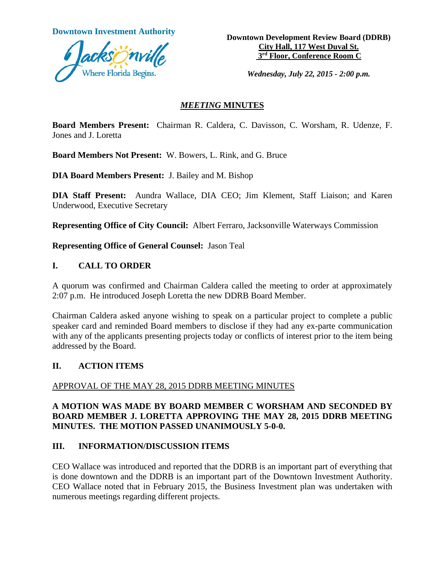

**Downtown Investment Authority Downtown Development Review Board (DDRB) City Hall, 117 West Duval St. 3rd Floor, Conference Room C**

*Wednesday, July 22, 2015 - 2:00 p.m.*

#### *MEETING* **MINUTES**

**Board Members Present:** Chairman R. Caldera, C. Davisson, C. Worsham, R. Udenze, F. Jones and J. Loretta

**Board Members Not Present:** W. Bowers, L. Rink, and G. Bruce

**DIA Board Members Present:** J. Bailey and M. Bishop

**DIA Staff Present:** Aundra Wallace, DIA CEO; Jim Klement, Staff Liaison; and Karen Underwood, Executive Secretary

**Representing Office of City Council:** Albert Ferraro, Jacksonville Waterways Commission

**Representing Office of General Counsel:** Jason Teal

## **I. CALL TO ORDER**

A quorum was confirmed and Chairman Caldera called the meeting to order at approximately 2:07 p.m. He introduced Joseph Loretta the new DDRB Board Member.

Chairman Caldera asked anyone wishing to speak on a particular project to complete a public speaker card and reminded Board members to disclose if they had any ex-parte communication with any of the applicants presenting projects today or conflicts of interest prior to the item being addressed by the Board.

## **II. ACTION ITEMS**

## APPROVAL OF THE MAY 28, 2015 DDRB MEETING MINUTES

## **A MOTION WAS MADE BY BOARD MEMBER C WORSHAM AND SECONDED BY BOARD MEMBER J. LORETTA APPROVING THE MAY 28, 2015 DDRB MEETING MINUTES. THE MOTION PASSED UNANIMOUSLY 5-0-0.**

## **III. INFORMATION/DISCUSSION ITEMS**

CEO Wallace was introduced and reported that the DDRB is an important part of everything that is done downtown and the DDRB is an important part of the Downtown Investment Authority. CEO Wallace noted that in February 2015, the Business Investment plan was undertaken with numerous meetings regarding different projects.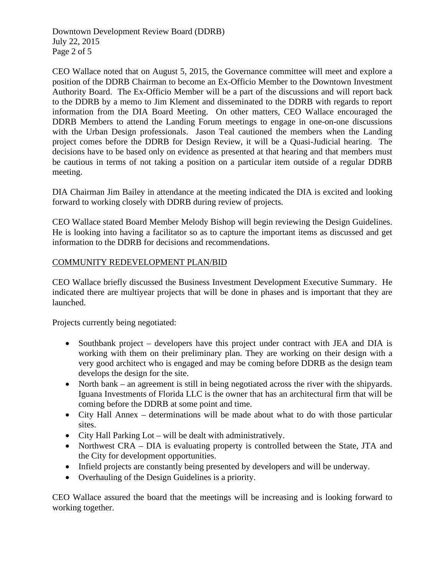Downtown Development Review Board (DDRB) July 22, 2015 Page 2 of 5

CEO Wallace noted that on August 5, 2015, the Governance committee will meet and explore a position of the DDRB Chairman to become an Ex-Officio Member to the Downtown Investment Authority Board. The Ex-Officio Member will be a part of the discussions and will report back to the DDRB by a memo to Jim Klement and disseminated to the DDRB with regards to report information from the DIA Board Meeting. On other matters, CEO Wallace encouraged the DDRB Members to attend the Landing Forum meetings to engage in one-on-one discussions with the Urban Design professionals. Jason Teal cautioned the members when the Landing project comes before the DDRB for Design Review, it will be a Quasi-Judicial hearing. The decisions have to be based only on evidence as presented at that hearing and that members must be cautious in terms of not taking a position on a particular item outside of a regular DDRB meeting.

DIA Chairman Jim Bailey in attendance at the meeting indicated the DIA is excited and looking forward to working closely with DDRB during review of projects.

CEO Wallace stated Board Member Melody Bishop will begin reviewing the Design Guidelines. He is looking into having a facilitator so as to capture the important items as discussed and get information to the DDRB for decisions and recommendations.

## COMMUNITY REDEVELOPMENT PLAN/BID

CEO Wallace briefly discussed the Business Investment Development Executive Summary. He indicated there are multiyear projects that will be done in phases and is important that they are launched.

Projects currently being negotiated:

- Southbank project developers have this project under contract with JEA and DIA is working with them on their preliminary plan. They are working on their design with a very good architect who is engaged and may be coming before DDRB as the design team develops the design for the site.
- North bank an agreement is still in being negotiated across the river with the shipyards. Iguana Investments of Florida LLC is the owner that has an architectural firm that will be coming before the DDRB at some point and time.
- City Hall Annex determinations will be made about what to do with those particular sites.
- City Hall Parking Lot will be dealt with administratively.
- Northwest CRA DIA is evaluating property is controlled between the State, JTA and the City for development opportunities.
- Infield projects are constantly being presented by developers and will be underway.
- Overhauling of the Design Guidelines is a priority.

CEO Wallace assured the board that the meetings will be increasing and is looking forward to working together.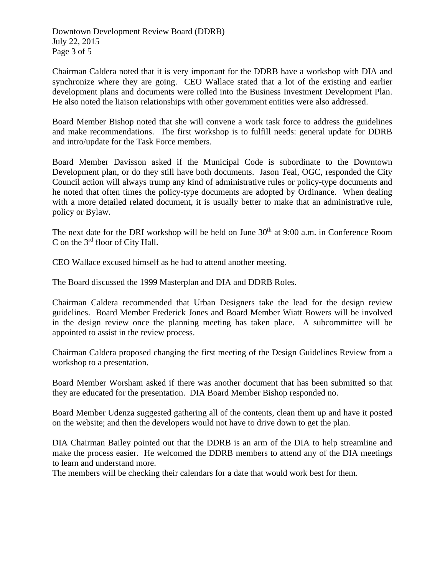Downtown Development Review Board (DDRB) July 22, 2015 Page 3 of 5

Chairman Caldera noted that it is very important for the DDRB have a workshop with DIA and synchronize where they are going. CEO Wallace stated that a lot of the existing and earlier development plans and documents were rolled into the Business Investment Development Plan. He also noted the liaison relationships with other government entities were also addressed.

Board Member Bishop noted that she will convene a work task force to address the guidelines and make recommendations. The first workshop is to fulfill needs: general update for DDRB and intro/update for the Task Force members.

Board Member Davisson asked if the Municipal Code is subordinate to the Downtown Development plan, or do they still have both documents. Jason Teal, OGC, responded the City Council action will always trump any kind of administrative rules or policy-type documents and he noted that often times the policy-type documents are adopted by Ordinance. When dealing with a more detailed related document, it is usually better to make that an administrative rule, policy or Bylaw.

The next date for the DRI workshop will be held on June  $30<sup>th</sup>$  at 9:00 a.m. in Conference Room C on the 3rd floor of City Hall.

CEO Wallace excused himself as he had to attend another meeting.

The Board discussed the 1999 Masterplan and DIA and DDRB Roles.

Chairman Caldera recommended that Urban Designers take the lead for the design review guidelines. Board Member Frederick Jones and Board Member Wiatt Bowers will be involved in the design review once the planning meeting has taken place. A subcommittee will be appointed to assist in the review process.

Chairman Caldera proposed changing the first meeting of the Design Guidelines Review from a workshop to a presentation.

Board Member Worsham asked if there was another document that has been submitted so that they are educated for the presentation. DIA Board Member Bishop responded no.

Board Member Udenza suggested gathering all of the contents, clean them up and have it posted on the website; and then the developers would not have to drive down to get the plan.

DIA Chairman Bailey pointed out that the DDRB is an arm of the DIA to help streamline and make the process easier. He welcomed the DDRB members to attend any of the DIA meetings to learn and understand more.

The members will be checking their calendars for a date that would work best for them.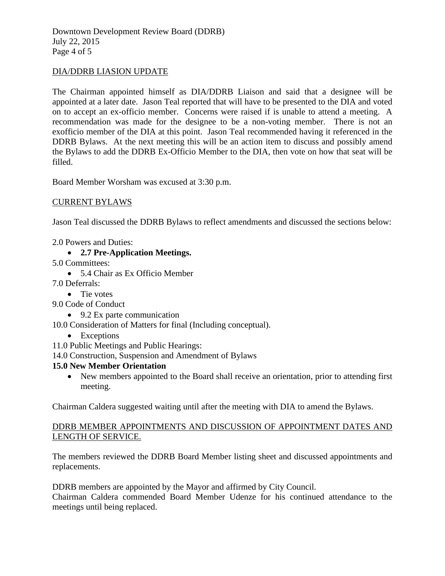Downtown Development Review Board (DDRB) July 22, 2015 Page 4 of 5

#### DIA/DDRB LIASION UPDATE

The Chairman appointed himself as DIA/DDRB Liaison and said that a designee will be appointed at a later date. Jason Teal reported that will have to be presented to the DIA and voted on to accept an ex-officio member. Concerns were raised if is unable to attend a meeting. A recommendation was made for the designee to be a non-voting member. There is not an exofficio member of the DIA at this point. Jason Teal recommended having it referenced in the DDRB Bylaws. At the next meeting this will be an action item to discuss and possibly amend the Bylaws to add the DDRB Ex-Officio Member to the DIA, then vote on how that seat will be filled.

Board Member Worsham was excused at 3:30 p.m.

#### CURRENT BYLAWS

Jason Teal discussed the DDRB Bylaws to reflect amendments and discussed the sections below:

2.0 Powers and Duties:

- **2.7 Pre-Application Meetings.**
- 5.0 Committees:
	- 5.4 Chair as Ex Officio Member
- 7.0 Deferrals:
	- Tie votes
- 9.0 Code of Conduct
	- 9.2 Ex parte communication

10.0 Consideration of Matters for final (Including conceptual).

- Exceptions
- 11.0 Public Meetings and Public Hearings:
- 14.0 Construction, Suspension and Amendment of Bylaws

#### **15.0 New Member Orientation**

• New members appointed to the Board shall receive an orientation, prior to attending first meeting.

Chairman Caldera suggested waiting until after the meeting with DIA to amend the Bylaws.

## DDRB MEMBER APPOINTMENTS AND DISCUSSION OF APPOINTMENT DATES AND LENGTH OF SERVICE.

The members reviewed the DDRB Board Member listing sheet and discussed appointments and replacements.

DDRB members are appointed by the Mayor and affirmed by City Council.

Chairman Caldera commended Board Member Udenze for his continued attendance to the meetings until being replaced.